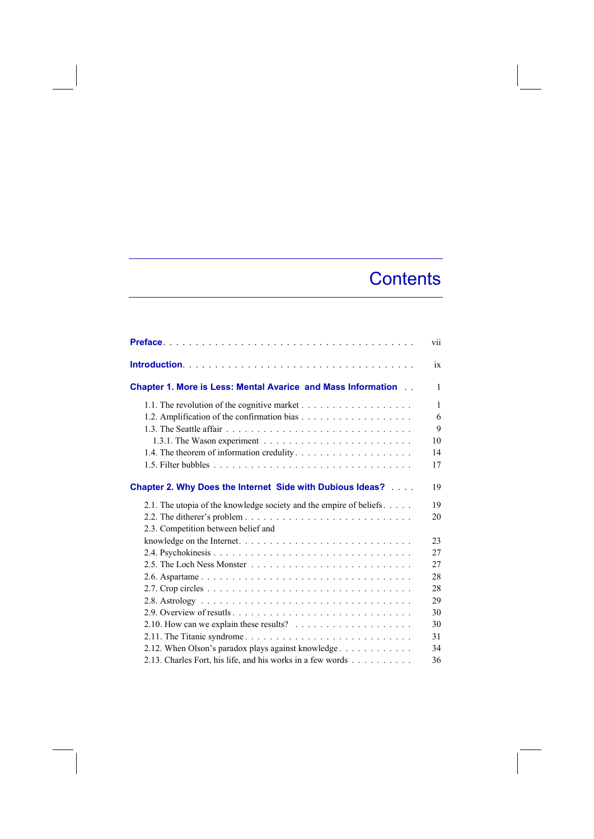## **Contents**

|                                                                                       | vii          |
|---------------------------------------------------------------------------------------|--------------|
|                                                                                       | ix           |
| <b>Chapter 1. More is Less: Mental Avarice and Mass Information</b><br>$\overline{a}$ | 1            |
|                                                                                       | $\mathbf{1}$ |
|                                                                                       | 6            |
|                                                                                       | 9            |
|                                                                                       | 10           |
|                                                                                       | 14           |
|                                                                                       | 17           |
| <b>Chapter 2. Why Does the Internet Side with Dubious Ideas?</b>                      | 19           |
| 2.1. The utopia of the knowledge society and the empire of beliefs                    | 19           |
|                                                                                       | 20           |
| 2.3. Competition between belief and                                                   |              |
|                                                                                       | 23           |
|                                                                                       | 27           |
|                                                                                       | 27           |
|                                                                                       | 28           |
|                                                                                       | 28           |
|                                                                                       | 29           |
|                                                                                       | 30           |
| 2.10. How can we explain these results? $\ldots \ldots \ldots \ldots \ldots \ldots$   | 30           |
|                                                                                       | 31           |
| 2.12. When Olson's paradox plays against knowledge                                    | 34           |
| 2.13. Charles Fort, his life, and his works in a few words                            | 36           |